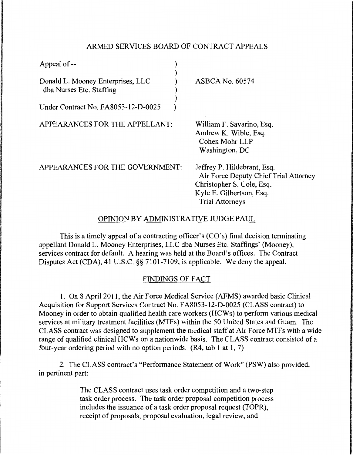## ARMED SERVICES BOARD OF CONTRACT APPEALS

| Appeal of --                                                  |                                                                                                                                                         |
|---------------------------------------------------------------|---------------------------------------------------------------------------------------------------------------------------------------------------------|
| Donald L. Mooney Enterprises, LLC<br>dba Nurses Etc. Staffing | <b>ASBCA No. 60574</b>                                                                                                                                  |
| Under Contract No. FA8053-12-D-0025                           |                                                                                                                                                         |
| APPEARANCES FOR THE APPELLANT:                                | William F. Savarino, Esq.<br>Andrew K. Wible, Esq.<br>Cohen Mohr LLP<br>Washington, DC                                                                  |
| APPEARANCES FOR THE GOVERNMENT:                               | Jeffrey P. Hildebrant, Esq.<br>Air Force Deputy Chief Trial Attorney<br>Christopher S. Cole, Esq.<br>Kyle E. Gilbertson, Esq.<br><b>Trial Attorneys</b> |
|                                                               |                                                                                                                                                         |

#### OPINION BY ADMINISTRATIVE JUDGE PAUL

This is a timely appeal of a contracting officer's (CO's) final decision terminating appellant Donald L. Mooney Enterprises, LLC dba Nurses Etc. Staffings' (Mooney), services contract for default. A hearing was held at the Board's offices. The Contract Disputes Act (CDA), 41 U.S.C. §§ 7101-7109, is applicable. We deny the appeal.

# FINDINGS OF FACT

1. On 8 April 2011, the Air Force Medical Service (AFMS) awarded basic Clinical Acquisition for Support Services Contract No. FA8053-12-D-0025 (CLASS contract) to Mooney in order to obtain qualified health care workers (HCWs) to perform various medical services at military treatment facilities (MTFs) within the 50 United States and Guam. The CLASS contract was designed to supplement the medical staff at Air Force MTFs with a wide range of qualified clinical HCWs on a nationwide basis. The CLASS contract consisted of a four-year ordering period with no option periods. (R4, tab 1 at 1, 7)

2. The CLASS contract's "Performance Statement of Work" (PSW) also provided, in pertinent part:

> The CLASS contract uses task order competition and a two-step task order process. The task order proposal competition process includes the issuance of a task order proposal request (TOPR), receipt of proposals, proposal evaluation, legal review, and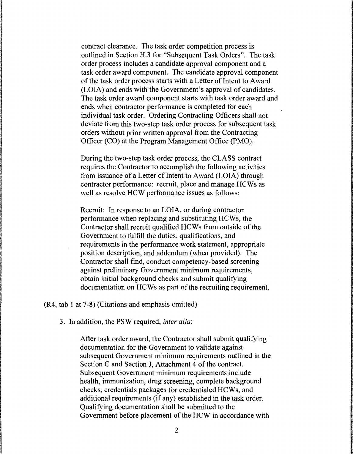contract clearance. The task order competition process is outlined in Section H.3 for "Subsequent Task Orders". The task order process includes a candidate approval component and a task order award component. The candidate approval component of the task order process starts with a Letter of Intent to Award (LOIA) and ends with the Government's approval of candidates. The task order award component starts with task order award and ends when contractor performance is completed for each individual task order. Ordering Contracting Officers shall not deviate from this two-step task order process for subsequent task orders without prior written approval from the Contracting Officer (CO) at the Program Management Office (PMO).

During the two-step task order process, the CLASS contract requires the Contractor to accomplish the following activities from issuance of a Letter of Intent to Award (LOIA) through contractor performance: recruit, place and manage HCWs as well as resolve HCW performance issues as follows:

Recruit: In response to an LOIA, or during contractor performance when replacing and substituting HCWs, the Contractor shall recruit qualified HCWs from outside of the Government to fulfill the duties, qualifications, and requirements in the performance work statement, appropriate position description, and addendum (when provided). The Contractor shall find, conduct competency-based screening against preliminary Government minimum requirements, obtain initial background checks and submit qualifying documentation on HCWs as part of the recruiting requirement.

(R4, tab 1 at 7-8) (Citations and emphasis omitted)

3. In addition, the PSW required, *inter alia:* 

After task order award, the Contractor shall submit qualifying documentation for the Government to validate against subsequent Government minimum requirements outlined in the Section C and Section J, Attachment 4 of the contract. Subsequent Government minimum requirements include health, immunization, drug screening, complete background checks, credentials packages for credentialed HCWs, and additional requirements (if any) established in the task order. Qualifying documentation shall be submitted to the Government before placement of the HCW in accordance with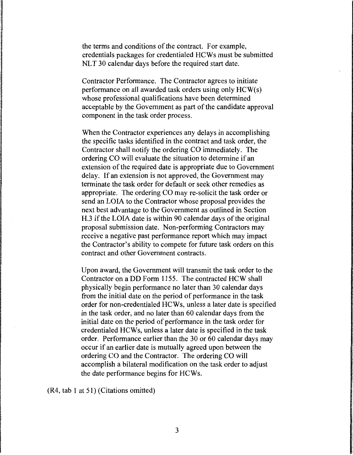the terms and conditions of the contract. For example, credentials packages for credentialed HCWs must be submitted NLT 30 calendar days before the required start date.

Contractor Performance. The Contractor agrees to initiate performance on all awarded task orders using only HCW(s) whose professional qualifications have been determined acceptable by the Government as part of the candidate approval component in the task order process.

When the Contractor experiences any delays in accomplishing the specific tasks identified in the contract and task order, the Contractor shall notify the ordering CO immediately. The ordering CO will evaluate the situation to determine if an extension of the required date is appropriate due to Government delay. If an extension is not approved, the Government may terminate the task order for default or seek other remedies as appropriate. The ordering CO may re-solicit the task order or send an LOIA to the Contractor whose proposal provides the next best advantage to the Government as outlined in Section H.3 if the LOIA date is within 90 calendar days of the original proposal submission date. Non-performing Contractors may receive a negative past performance report which may impact the Contractor's ability to compete for future task orders on this contract and other Government contracts.

Upon award, the Government will transmit the task order to the Contractor on a DD Form 1155. The contracted HCW shall physically begin performance no later than 30 calendar days from the initial date on the period of performance in the task order for non-credentialed HCWs, unless a later date is specified in the task order, and no later than 60 calendar days from the initial date on the period of performance in the task order for credentialed HCWs, unless a later date is specified in the task order. Performance earlier than the 30 or 60 calendar days may occur if an earlier date is mutually agreed upon between the ordering CO and the Contractor. The ordering CO will accomplish a bilateral modification on the task order to adjust the date performance begins for HCWs.

(R4, tab I at 51) (Citations omitted)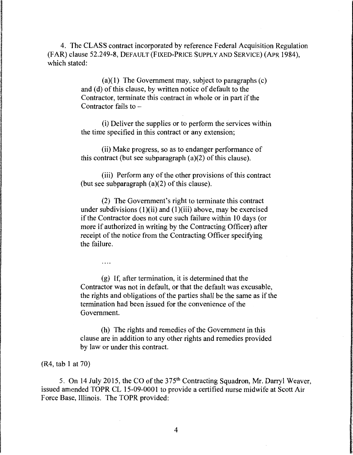4. The CLASS contract incorporated by reference Federal Acquisition Regulation (FAR) clause 52.249-8, DEFAULT(FIXED-PRICE SUPPLY AND SERVICE) (APR 1984), which stated:

> (a)(1) The Government may, subject to paragraphs  $(c)$ and (d) of this clause, by written notice of default to the Contractor, terminate this contract in whole or in part if the Contractor fails to  $-$

(i) Deliver the supplies or to perform the services within the time specified in this contract or any extension;

(ii) Make progress, so as to endanger performance of this contract (but see subparagraph (a)(2) of this clause).

(iii) Perform any of the other provisions of this contract (but see subparagraph (a)(2) of this clause).

(2) The Government's right to terminate this contract under subdivisions  $(1)(ii)$  and  $(1)(iii)$  above, may be exercised if the Contractor does not cure such failure within 10 days (or more if authorized in writing by the Contracting Officer) after receipt of the notice from the Contracting Officer specifying the failure.

(g) If, after termination, it is determined that the Contractor was not in default, or that the default was excusable, the rights and obligations of the parties shall be the same as if the termination had been issued for the convenience of the Government.

(h) The rights and remedies of the Government in this clause are in addition to any other rights and remedies provided by law or under this contract.

(R4, tab 1 at 70)

 $\cdots$ 

5. On 14 July 2015, the CO of the 375<sup>th</sup> Contracting Squadron, Mr. Darryl Weaver, issued amended TOPR CL 15-09-0001 to provide a certified nurse midwife at Scott Air Force Base, Illinois. The TOPR provided:

4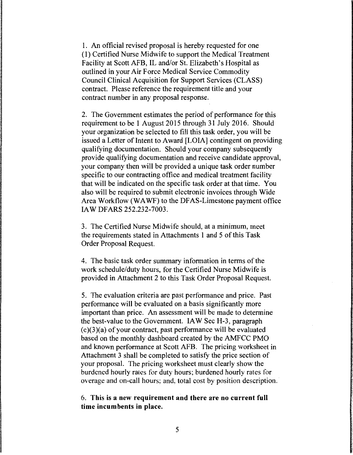1. An official revised proposal is hereby requested for one ( 1) Certified Nurse Midwife to support the Medical Treatment Facility at Scott AFB, IL and/or St. Elizabeth's Hospital as outlined in your Air Force Medical Service Commodity Council Clinical Acquisition for Support Services (CLASS) contract. Please reference the requirement title and your contract number in any proposal response.

2. The Government estimates the period of performance for this requirement to be 1 August 2015 through 31 July 2016. Should your organization be selected to fill this task order, you will be issued a Letter of Intent to Award [LOIA] contingent on providing qualifying documentation. Should your company subsequently provide qualifying documentation and receive candidate approval, your company then will be provided a unique task order number specific to our contracting office and medical treatment facility that will be indicated on the specific task order at that time. You also will be required to submit electronic invoices through Wide Area Workflow (WA WF) to the DF AS-Limestone payment office IAW DFARS 252.232-7003.

3. The Certified Nurse Midwife should, at a minimum, meet the requirements stated in Attachments 1 and 5 of this Task Order Proposal Request.

4. The basic task order summary information in terms of the work schedule/duty hours, for the Certified Nurse Midwife is provided in Attachment 2 to this Task Order Proposal Request.

5. The evaluation criteria are past performance and price. Past performance will be evaluated on a basis significantly more important than price. An assessment will be made to determine the best-value to the Government. IA W Sec H-3, paragraph (c)(3)(a) of your contract, past performance will be evaluated based on the monthly dashboard created by the AMFCC PMO and known performance at Scott AFB. The pricing worksheet in Attachment 3 shall be completed to satisfy the price section of your proposal. The pricing worksheet must clearly show the burdened hourly rates for duty hours; burdened hourly rates for overage and on-call hours: and, total cost by position description.

6. This is a new requirement and there are no current full time incumbents in place.

5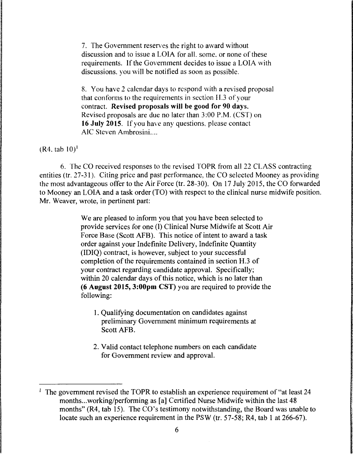7. The Government reserves the right to award without discussion and to issue a LOIA for all. some. or none of these requirements. If the Government decides to issue a LOIA with discussions. you will be notified as soon as possible.

8. You have 2 calendar days to respond with a revised proposal that conforms to the requirements in section H.3 of your contract. Revised proposals will be good for 90 days. Revised proposals are due no later than 3:00 P.M. (CST) on 16 July 2015. If you have any questions. please contact AlC Steven Ambrosini....

 $(R4, tab 10)^1$ 

6. The CO received responses to the revised TOPR from all 22 CLASS contracting entities (tr. 27-31 ). Citing price and past performance, the CO selected Mooney as providing the most advantageous offer to the Air Force (tr. 28-30). On 17 July 2015, the CO forwarded to Mooney an LOIA and a task order (TO) with respect to the clinical nurse midwife position. Mr. Weaver, wrote, in pertinent part:

> We are pleased to inform you that you have been selected to provide services for one (I) Clinical Nurse Midwife at Scott Air Force Base (Scott AFB). This notice of intent to award a task order against your Indefinite Delivery, Indefinite Quantity (IDIQ) contract, is however, subject to your successful completion of the requirements contained in section H.3 of your contract regarding candidate approval. Specifically; within 20 calendar days of this notice, which is no later than **(6 August 2015, 3:00pm** CST) you are required to provide the following:

- 1. Qualifying documentation on candidates against preliminary Government minimum requirements at Scott AFB.
- 2. Valid contact telephone numbers on each candidate for Government review and approval.

<sup>&</sup>lt;sup>1</sup> The government revised the TOPR to establish an experience requirement of "at least 24 months ... working/performing as [a] Certified Nurse Midwife within the last 48 months" (R4, tab 15). The CO's testimony notwithstanding, the Board was unable to locate such an experience requirement in the PSW (tr. 57-58; R4, tab 1 at 266-67).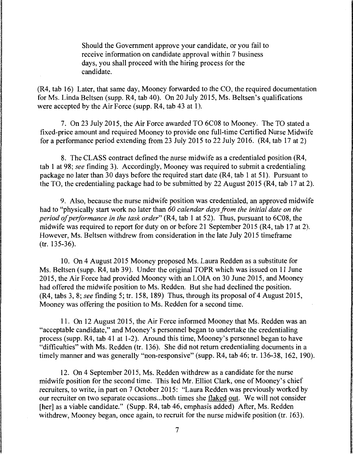Should the Government approve your candidate, or you fail to receive information on candidate approval within 7 business days, you shall proceed with the hiring process for the candidate.

(R4, tab 16) Later, that same day, Mooney forwarded to the CO, the required documentation for Ms. Linda Beltsen (supp. R4, tab 40). On 20 July 2015, Ms. Beltsen's qualifications were accepted by the Air Force (supp. R4, tab 43 at 1).

7. On 23 July 2015, the Air Force awarded TO 6C08 to Mooney. The TO stated a fixed-price amount and required Mooney to provide one full-time Certified Nurse Midwife for a performance period extending from 23 July 2015 to 22 July 2016. (R4, tab 17 at 2)

8. The CLASS contract defined the nurse midwife as a credentialed position (R4, tab 1 at 98; *see* finding 3). Accordingly, Mooney was required to submit a credentialing package no later than 30 days before the required start date (R4, tab 1 at 51). Pursuant to the TO, the credentialing package had to be submitted by 22 August 2015 (R4, tab 17 at 2).

9. Also, because the nurse midwife position was credentialed, an approved midwife had to "physically start work no later than *60 calendar days from the initial date on the period of performance in the task order"* (R4, tab 1 at 52). Thus, pursuant to 6C08, the midwife was required to report for duty on or before 21 September 2015 (R4, tab 17 at 2). However, Ms. Beltsen withdrew from consideration in the late July 2015 timeframe (tr. 135-36).

10. On 4 August 2015 Mooney proposed Ms. Laura Redden as a substitute for Ms. Beltsen (supp. R4, tab 39). Under the original TOPR which was issued on 11 June 2015, the Air Force had provided Mooney with an LOIA on 30 June 2015, and Mooney had offered the midwife position to Ms. Redden. But she had declined the position. (R4, tabs 3, 8; *see* finding 5; tr. 158, 189) Thus, through its proposal of 4 August 2015, Mooney was offering the position to Ms. Redden for a second time.

11. On 12 August 2015, the Air Force informed Mooney that Ms. Redden was an "acceptable candidate," and Mooney's personnel began to undertake the credentialing process (supp. R4, tab 41 at 1-2). Around this time, Mooney's personnel began to have "difficulties" with Ms. Redden (tr. 136). She did not return credentialing documents in a timely manner and was generally "non-responsive" (supp. R4, tab 46; tr. 136-38, 162, 190).

12. On 4 September 2015, Ms. Redden withdrew as a candidate for the nurse midwife position for the second time. This led Mr. Elliot Clark, one of Mooney's chief recruiters, to write, in part on 7 October 2015: "Laura Redden was previously worked by our recruiter on two separate occasions ... both times she flaked out. We will not consider [her] as a viable candidate." (Supp. R4, tab 46, emphasis added) After, Ms. Redden withdrew, Mooney began, once again, to recruit for the nurse midwife position (tr. 163).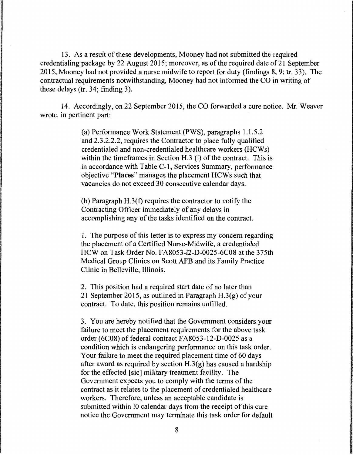13. As a result of these developments, Mooney had not submitted the required credentialing package by 22 August 2015; moreover, as of the required date of21 September 2015, Mooney had not provided a nurse midwife to report for duty (findings 8, 9; tr. 33). The contractual requirements notwithstanding, Mooney had not informed the CO in writing of these delays (tr. 34; finding 3).

14. Accordingly, on 22 September 2015, the CO forwarded a cure notice. Mr. Weaver wrote, in pertinent part:

> (a) Performance Work Statement (PWS), paragraphs 1.1.5.2 and 2.3.2.2.2, requires the Contractor to place fully qualified credentialed and non-credentialed healthcare workers (HCWs) within the timeframes in Section H.3 (i) of the contract. This is in accordance with Table C-1, Services Summary, performance objective **"Places"** manages the placement HCWs such that vacancies do not exceed 30 consecutive calendar days.

(b) Paragraph H.3(f) requires the contractor to notify the Contracting Officer immediately of any delays in accomplishing any of the tasks identified on the contract.

1. The purpose of this letter is to express my concern regarding the placement of a Certified Nurse-Midwife, a credentialed HCW on Task Order No. FA8053-12-D-0025-6C08 at the 375th Medical Group Clinics on Scott AFB and its Family Practice Clinic in Belleville, Illinois.

2. This position had a required start date of no later than 21 September 2015, as outlined in Paragraph  $H.3(g)$  of your contract. To date, this position remains unfilled.

3. You are hereby notified that the Government considers your failure to meet the placement requirements for the above task order (6C08) of federal contract FA8053-12-D-0025 as a condition which is endangering performance on this task order. Your failure to meet the required placement time of 60 days after award as required by section  $H.3(g)$  has caused a hardship for the effected [sic] military treatment facility. The Government expects you to comply with the terms of the contract as it relates to the placement of credentialed healthcare workers. Therefore, unless an acceptable candidate is submitted within IO calendar days from the receipt of this cure notice the Government may terminate this task order for default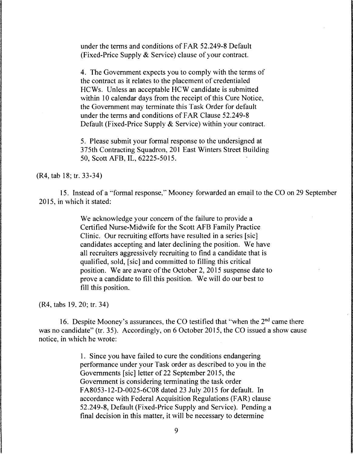under the terms and conditions of FAR 52.249-8 Default (Fixed-Price Supply & Service) clause of your contract.

4. The Government expects you to comply with the terms of the contract as it relates to the placement of credentialed HCWs. Unless an acceptable HCW candidate is submitted within 10 calendar days from the receipt of this Cure Notice, the Government may terminate this Task Order for default under the terms and conditions of FAR Clause 52.249-8 Default (Fixed-Price Supply & Service) within your contract.

5. Please submit your formal response to the undersigned at 375th Contracting Squadron, 201 East Winters Street Building 50, Scott AFB, IL, 62225-5015.

(R4, tab 18; tr. 33-34)

15. Instead of a '"formal response,'· Mooney forwarded an email to the CO on 29 September 2015, in which it stated:

> We acknowledge your concern of the failure to provide a Certified Nurse-Midwife for the Scott AFB Family Practice Clinic. Our recruiting efforts have resulted in a series [sic] candidates accepting and later declining the position. We have all recruiters aggressively recruiting to find a candidate that is qualified, sold, [sic] and committed to filling this critical position. We are aware of the October 2, 2015 suspense date to prove a candidate to fill this position. We will do our best to fill this position.

(R4, tabs 19. 20; tr. 34)

16. Despite Mooney's assurances, the CO testified that "when the  $2<sup>nd</sup>$  came there was no candidate" (tr. 35). Accordingly, on 6 October 2015, the CO issued a show cause notice, in which he wrote:

> 1. Since you have failed to cure the conditions endangering performance under your Task order as described to you in the Governments [sic] letter of 22 September 2015, the Government is considering terminating the task order FA8053-12-D-0025-6C08 dated 23 July 2015 for default. In accordance with Federal Acquisition Regulations (FAR) clause 52.249-8, Default (Fixed-Price Supply and Service). Pending a final decision in this matter, it will be necessary to determine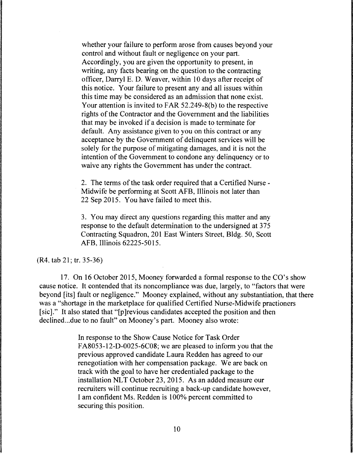whether your failure to perform arose from causes beyond your control and without fault or negligence on your part. Accordingly, you are given the opportunity to present, in writing, any facts bearing on the question to the contracting officer, Darryl E. D. Weaver, within 10 days after receipt of this notice. Your failure to present any and all issues within this time may be considered as an admission that none exist. Your attention is invited to FAR 52.249-8(b) to the respective rights of the Contractor and the Government and the liabilities that may be invoked if a decision is made to terminate for default. Any assistance given to you on this contract or any acceptance by the Government of delinquent services will be solely for the purpose of mitigating damages, and it is not the intention of the Government to condone any delinquency or to waive any rights the Government has under the contract.

2. The terms of the task order required that a Certified Nurse - Midwife be performing at Scott AFB, Illinois not later than 22 Sep 2015. You have failed to meet this.

3. You may direct any questions regarding this matter and any response to the default determination to the undersigned at 375 Contracting Squadron, 201 East Winters Street, Bldg. 50, Scott AFB, Illinois 62225-5015.

(R4. tab 21; tr. 35-36)

17. On 16 October 2015, Mooney forwarded a formal response to the CO's show cause notice. It contended that its noncompliance was due, largely, to "factors that were beyond [its] fault or negligence." Mooney explained, without any substantiation, that there was a "shortage in the marketplace for qualified Certified Nurse-Midwife practioners [sic]." It also stated that "[p ]revious candidates accepted the position and then declined... due to no fault" on Mooney's part. Mooney also wrote:

> In response to the Show Cause Notice for Task Order FA8053-12-D-0025-6C08; we are pleased to inform you that the previous approved candidate Laura Redden has agreed to our renegotiation with her compensation package. We are back on track with the goal to have her credentialed package to the installation NLT October 23, 2015. As an added measure our recruiters will continue recruiting a back-up candidate however, I am confident Ms. Redden is I 00% percent committed to securing this position.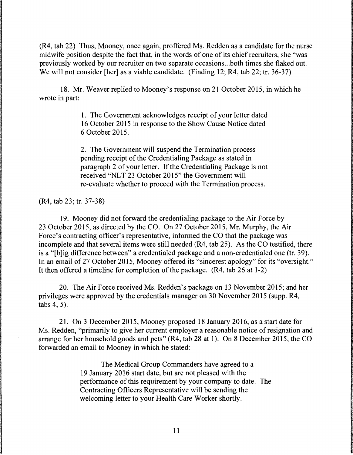(R4, tab 22) Thus, Mooney, once again, proffered Ms. Redden as a candidate for the nurse midwife position despite the fact that, in the words of one of its chief recruiters, she "was previously worked by our recruiter on two separate occasions ... both times she flaked out. We will not consider [her] as a viable candidate. (Finding 12; R4, tab 22; tr. 36-37)

18. Mr. Weaver replied to Mooney's response on 21 October 2015, in which he wrote in part:

> 1. The Government acknowledges receipt of your letter dated 16 October 2015 in response to the Show Cause Notice dated 6 October 2015.

> 2. The Government will suspend the Termination process pending receipt of the Credentialing Package as stated in paragraph 2 of your letter. If the Credentialing Package is not received "NLT 23 October 2015" the Government will re-evaluate whether to proceed with the Termination process.

(R4, tab 23; tr. 37-38)

19. Mooney did not forward the credentialing package to the Air Force by 23 October 2015, as directed by the CO. On 27 October 2015, Mr. Murphy, the Air Force's contracting officer's representative, informed the CO that the package was incomplete and that several items were still needed (R4, tab 25). As the CO testified, there is a "[b ]ig difference between" a credentialed package and a non-credentialed one (tr. 39). In an email of 27 October 2015, Mooney offered its "sincerest apology" for its "oversight." It then offered a timeline for completion of the package. (R4, tab 26 at 1-2)

20. The Air Force received Ms. Redden's package on 13 November 2015; and her privileges were approved by the credentials manager on 30 November 2015 (supp. R4, tabs 4, 5).

21. On 3 December 2015, Mooney proposed 18 January 2016, as a start date for Ms. Redden, "primarily to give her current employer a reasonable notice of resignation and arrange for her household goods and pets" (R4, tab 28 at 1). On 8 December 2015, the CO forwarded an email to Mooney in which he stated:

> The Medical Group Commanders have agreed to a 19 January 2016 start date, but are not pleased with the performance of this requirement by your company to date. The Contracting Officers Representative will be sending the welcoming letter to your Health Care Worker shortly.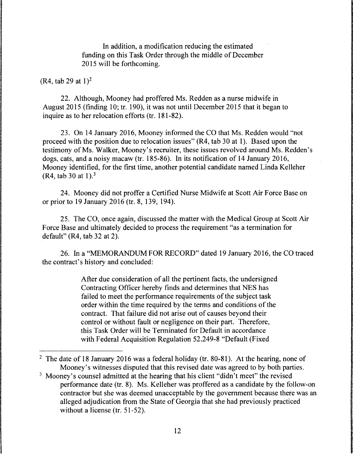In addition, a modification reducing the estimated funding on this Task Order through the middle of December 2015 will be forthcoming.

### $(R4, tab 29 at 1)^2$

22. Although, Mooney had proffered Ms. Redden as a nurse midwife in August 2015 (finding 10; tr. 190), it was not until December 2015 that it began to inquire as to her relocation efforts (tr. 181-82).

23. On 14 January 2016, Mooney informed the CO that Ms. Redden would "not proceed with the position due to relocation issues" (R4, tab 30 at 1 ). Based upon the testimony of Ms. Walker, Mooney's recruiter, these issues revolved around Ms. Redden's dogs, cats, and a noisy macaw (tr. 185-86). In its notification of 14 January 2016, Mooney identified, for the first time, another potential candidate named Linda Kelleher (R4, tab 30 at 1).<sup>3</sup>

24. Mooney did not proffer a Certified Nurse Midwife at Scott Air Force Base on or prior to 19 January 2016 (tr. 8, 139, 194).

25. The CO, once again, discussed the matter with the Medical Group at Scott Air Force Base and ultimately decided to process the requirement "as a termination for default" (R4, tab 32 at 2).

26. In a "MEMORANDUM FOR RECORD" dated 19 January 2016, the CO traced the contract's history and concluded:

> After due consideration of all the pertinent facts, the undersigned Contracting Officer hereby finds and determines that NES has failed to meet the performance requirements of the subject task order within the time required by the terms and conditions of the contract. That failure did not arise out of causes beyond their control or without fault or negligence on their part. Therefore, this Task Order will be Terminated for Default in accordance with Federal Acquisition Regulation 52.249-8 "Default (Fixed

<sup>&</sup>lt;sup>2</sup> The date of 18 January 2016 was a federal holiday (tr. 80-81). At the hearing, none of Mooney's witnesses disputed that this revised date was agreed to by both parties.

<sup>&</sup>lt;sup>3</sup> Mooney's counsel admitted at the hearing that his client "didn't meet" the revised performance date (tr. 8). Ms. Kelleher was proffered as a candidate by the follow-on contractor but she was deemed unacceptable by the government because there was an alleged adjudication from the State of Georgia that she had previously practiced without a license (tr. 51-52).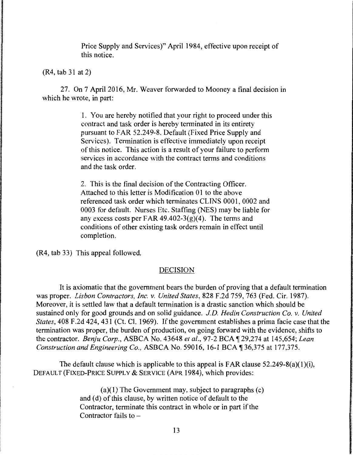Price Supply and Services)" April 1984, effective upon receipt of this notice.

(R4, tab 31 at 2)

27. On 7 April 2016, Mr. Weaver forwarded to Mooney a final decision in which he wrote, in part:

> 1. You are hereby notified that your right to proceed under this contract and task order is hereby terminated in its entirety pursuant to FAR 52.249-8, Default (Fixed Price Supply and Services). Termination is effective immediately upon receipt of this notice. This action is a result of your failure to perfonn services in accordance with the contract terms and conditions and the task order.

2. This is the final decision of the Contracting Officer. Attached to this letter is Modification 01 to the above referenced task order which terminates CL INS 0001, 0002 and 0003 for default. Nurses Etc. Staffing (NES) may be liable for any excess costs per FAR 49.402-3(g)(4). The terms and conditions of other existing task orders remain in effect until completion.

(R4, tab 33) This appeal followed.

# DECISION

It is axiomatic that the government bears the burden of proving that a default termination was proper. *Lisbon Contractors, Inc. v. United States,* 828 F.2d 759, 763 (Fed. Cir. 1987). Moreover, it is settled law that a default termination is a drastic sanction which should be sustained only for good grounds and on solid guidance. *J.D. Hedin Construction Co. v. United States,* 408 F.2d 424, 431 (Ct. Cl. 1969). If the government establishes a prima facie case that the termination was proper, the burden of production, on going forward with the evidence, shifts to the contractor. *Benju Corp.*, ASBCA No. 43648 *et al.*, 97-2 BCA ¶ 29,274 at 145,654; *Lean Construction and Engineering Co., ASBCA No.* 59016, 16-1 BCA ¶ 36,375 at 177,375.

The default clause which is applicable to this appeal is FAR clause  $52.249-8(a)(1)(i)$ , DEFAULT (FIXED-PRICE SUPPLY & SERVICE (APR 1984), which provides:

> $(a)(1)$  The Government may, subject to paragraphs  $(c)$ and (d) of this clause, by written notice of default to the Contractor, terminate this contract in whole or in part if the Contractor fails to  $-$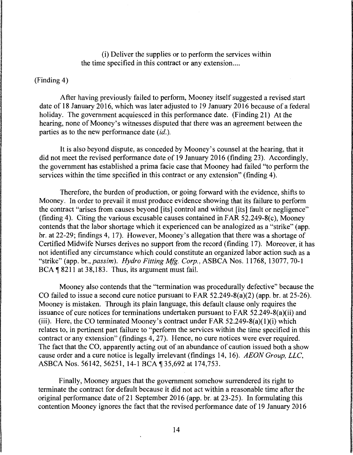(i) Deliver the supplies or to perform the services within the time specified in this contract or any extension....

### (Finding 4)

After having previously failed to perform, Mooney itself suggested a revised start date of 18 January 2016, which was later adjusted to 19 January 2016 because of a federal holiday. The government acquiesced in this performance date. (Finding 21) At the hearing, none of Mooney's witnesses disputed that there was an agreement between the parties as to the new performance date *(id.).* 

It is also beyond dispute, as conceded by Mooney's counsel at the hearing, that it did not meet the revised performance date of 19 January 2016 (finding 23 ). Accordingly, the government has established a prima facie case that Mooney had failed "to perform the services within the time specified in this contract or any extension" (finding 4).

Therefore, the burden of production, or going forward with the evidence, shifts to Mooney. In order to prevail it must produce evidence showing that its failure to perform the contract "arises from causes beyond [its] control and without [its] fault or negligence" (finding 4). Citing the various excusable causes contained in FAR 52.249-8(c), Mooney contends that the labor shortage which it experienced can be analogized as a "strike" ( app. br. at 22-29; findings 4, 17). However, Mooney's allegation that there was a shortage of Certified Midwife Nurses derives no support from the record (finding 17). Moreover, it has not identified any circumstance which could constitute an organized labor action such as a "strike" (app. *br.,passim). Hydro Fitting Mfg. Corp.,* ASBCA Nos. 11768, 13077, 70-1  $BCA \parallel 8211$  at 38,183. Thus, its argument must fail.

Mooney also contends that the "termination was procedurally defective" because the CO failed to issue a second cure notice pursuant to FAR 52.249-8(a)(2) (app. br. at 25-26). Mooney is mistaken. Through its plain language, this default clause only requires the issuance of cure notices for terminations undertaken pursuant to FAR 52.249-8(a)(ii) and (iii). Here, the CO terminated Mooney's contract under FAR  $52.249-8(a)(1)(i)$  which relates to, in pertinent part failure to "perform the services within the time specified in this contract or any extension" (findings 4, 27). Hence, no cure notices were ever required. The fact that the CO, apparently acting out of an abundance of caution issued both a show cause order and a cure notice is legally irrelevant (findings 14, 16). *AEON Group, LLC,*  ASBCA Nos. 56142, 56251, 14-1 BCA ¶ 35,692 at 174,753.

Finally, Mooney argues that the government somehow surrendered its right to terminate the contract for default because it did not act within a reasonable time after the original performance date of 21 September 2016 (app. br. at 23-25). In formulating this contention Mooney ignores the fact that the revised performance date of 19 January 2016